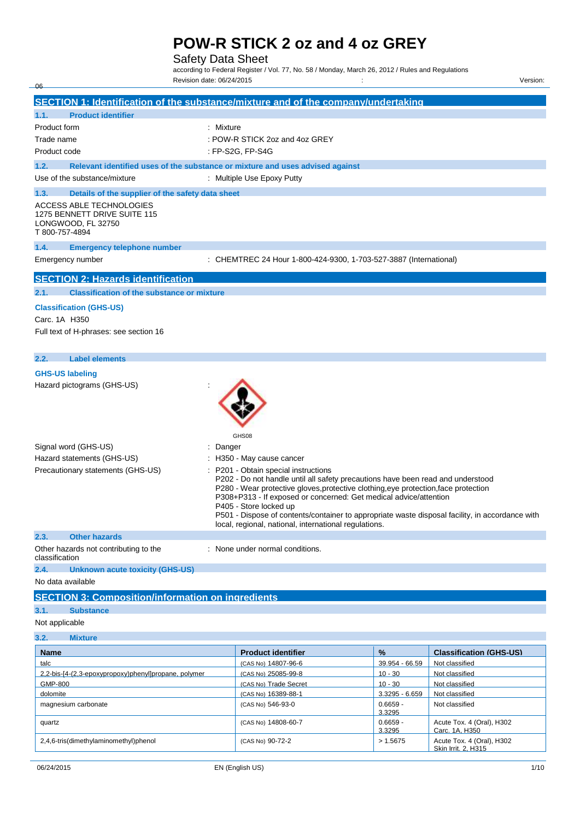## Safety Data Sheet

according to Federal Register / Vol. 77, No. 58 / Monday, March 26, 2012 / Rules and Regulations Revision date: 06/24/2015 : Version:

**SECTION 1: Identification of the substance/mixture and of the company/undertaking 1.1. Product identifier** 

| Product form                                                                                     | : Mixture                                                                                                                                                                                                                                                                                                                                                                                                                                                                 |
|--------------------------------------------------------------------------------------------------|---------------------------------------------------------------------------------------------------------------------------------------------------------------------------------------------------------------------------------------------------------------------------------------------------------------------------------------------------------------------------------------------------------------------------------------------------------------------------|
| Trade name                                                                                       | : POW-R STICK 2oz and 4oz GREY                                                                                                                                                                                                                                                                                                                                                                                                                                            |
| Product code                                                                                     | : FP-S2G, FP-S4G                                                                                                                                                                                                                                                                                                                                                                                                                                                          |
| 1.2.                                                                                             | Relevant identified uses of the substance or mixture and uses advised against                                                                                                                                                                                                                                                                                                                                                                                             |
| Use of the substance/mixture                                                                     | : Multiple Use Epoxy Putty                                                                                                                                                                                                                                                                                                                                                                                                                                                |
| 1.3.<br>Details of the supplier of the safety data sheet                                         |                                                                                                                                                                                                                                                                                                                                                                                                                                                                           |
| ACCESS ABLE TECHNOLOGIES<br>1275 BENNETT DRIVE SUITE 115<br>LONGWOOD, FL 32750<br>T 800-757-4894 |                                                                                                                                                                                                                                                                                                                                                                                                                                                                           |
| 1.4.<br><b>Emergency telephone number</b>                                                        |                                                                                                                                                                                                                                                                                                                                                                                                                                                                           |
| Emergency number                                                                                 | : CHEMTREC 24 Hour 1-800-424-9300, 1-703-527-3887 (International)                                                                                                                                                                                                                                                                                                                                                                                                         |
| <b>SECTION 2: Hazards identification</b>                                                         |                                                                                                                                                                                                                                                                                                                                                                                                                                                                           |
| <b>Classification of the substance or mixture</b><br>2.1.                                        |                                                                                                                                                                                                                                                                                                                                                                                                                                                                           |
| <b>Classification (GHS-US)</b>                                                                   |                                                                                                                                                                                                                                                                                                                                                                                                                                                                           |
| Carc. 1A H350                                                                                    |                                                                                                                                                                                                                                                                                                                                                                                                                                                                           |
| Full text of H-phrases: see section 16                                                           |                                                                                                                                                                                                                                                                                                                                                                                                                                                                           |
| 2.2.<br><b>Label elements</b>                                                                    |                                                                                                                                                                                                                                                                                                                                                                                                                                                                           |
| <b>GHS-US labeling</b>                                                                           |                                                                                                                                                                                                                                                                                                                                                                                                                                                                           |
| Hazard pictograms (GHS-US)                                                                       | GHS08                                                                                                                                                                                                                                                                                                                                                                                                                                                                     |
| Signal word (GHS-US)                                                                             | Danger                                                                                                                                                                                                                                                                                                                                                                                                                                                                    |
| Hazard statements (GHS-US)                                                                       | H350 - May cause cancer                                                                                                                                                                                                                                                                                                                                                                                                                                                   |
| Precautionary statements (GHS-US)                                                                | : P201 - Obtain special instructions<br>P202 - Do not handle until all safety precautions have been read and understood<br>P280 - Wear protective gloves, protective clothing, eye protection, face protection<br>P308+P313 - If exposed or concerned: Get medical advice/attention<br>P405 - Store locked up<br>P501 - Dispose of contents/container to appropriate waste disposal facility, in accordance with<br>local, regional, national, international regulations. |
| 2.3.<br><b>Other hazards</b>                                                                     |                                                                                                                                                                                                                                                                                                                                                                                                                                                                           |
| Other hazards not contributing to the<br>classification                                          | : None under normal conditions.                                                                                                                                                                                                                                                                                                                                                                                                                                           |
| 2.4.<br><b>Unknown acute toxicity (GHS-US)</b>                                                   |                                                                                                                                                                                                                                                                                                                                                                                                                                                                           |
| No data available                                                                                |                                                                                                                                                                                                                                                                                                                                                                                                                                                                           |
| <b>SECTION 3: Composition/information on ingredients</b>                                         |                                                                                                                                                                                                                                                                                                                                                                                                                                                                           |
| 3.1.<br><b>Substance</b>                                                                         |                                                                                                                                                                                                                                                                                                                                                                                                                                                                           |
| Not applicable                                                                                   |                                                                                                                                                                                                                                                                                                                                                                                                                                                                           |

## **3.2. Mixture**

 $-06$ 

| <b>Name</b>                                          | <b>Product identifier</b> | $\frac{1}{2}$        | <b>Classification (GHS-US)</b>                   |
|------------------------------------------------------|---------------------------|----------------------|--------------------------------------------------|
| talc                                                 | (CAS No) 14807-96-6       | 39.954 - 66.59       | Not classified                                   |
| 2.2-bis-[4-(2.3-epoxypropoxy)phenyllpropane, polymer | (CAS No) 25085-99-8       | $10 - 30$            | Not classified                                   |
| GMP-800                                              | (CAS No) Trade Secret     | $10 - 30$            | Not classified                                   |
| dolomite                                             | (CAS No) 16389-88-1       | $3.3295 - 6.659$     | Not classified                                   |
| magnesium carbonate                                  | (CAS No) 546-93-0         | $0.6659 -$<br>3.3295 | Not classified                                   |
| quartz                                               | (CAS No) 14808-60-7       | $0.6659 -$<br>3.3295 | Acute Tox. 4 (Oral), H302<br>Carc. 1A. H350      |
| 2,4,6-tris(dimethylaminomethyl)phenol                | (CAS No) 90-72-2          | > 1.5675             | Acute Tox. 4 (Oral), H302<br>Skin Irrit, 2, H315 |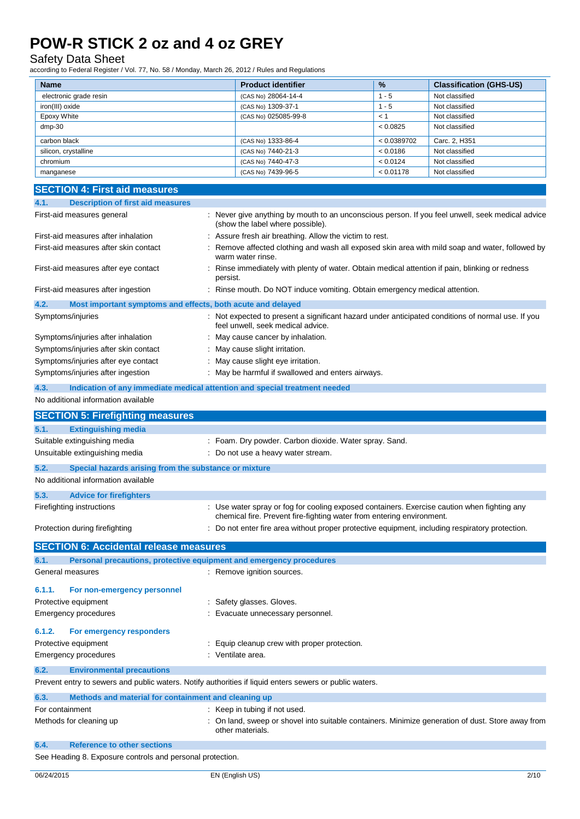### Safety Data Sheet

| (CAS No) 28064-14-4  | - 5         | Not classified |
|----------------------|-------------|----------------|
| (CAS No) 1309-37-1   | - 5         | Not classified |
| (CAS No) 025085-99-8 | ← 1         | Not classified |
|                      | < 0.0825    | Not classified |
| (CAS No) 1333-86-4   | < 0.0389702 | Carc. 2, H351  |
| (CAS No) 7440-21-3   | < 0.0186    | Not classified |
| (CAS No) 7440-47-3   | < 0.0124    | Not classified |
| (CAS No) 7439-96-5   | < 0.01178   | Not classified |
|                      |             |                |

| <b>SECTION 4: First aid measures</b>                                                                    |                                                                                                                                                                      |
|---------------------------------------------------------------------------------------------------------|----------------------------------------------------------------------------------------------------------------------------------------------------------------------|
| 4.1.<br><b>Description of first aid measures</b>                                                        |                                                                                                                                                                      |
| First-aid measures general                                                                              | Never give anything by mouth to an unconscious person. If you feel unwell, seek medical advice<br>(show the label where possible).                                   |
| First-aid measures after inhalation                                                                     | Assure fresh air breathing. Allow the victim to rest.                                                                                                                |
| First-aid measures after skin contact                                                                   | Remove affected clothing and wash all exposed skin area with mild soap and water, followed by<br>warm water rinse.                                                   |
| First-aid measures after eye contact                                                                    | Rinse immediately with plenty of water. Obtain medical attention if pain, blinking or redness<br>persist.                                                            |
| First-aid measures after ingestion                                                                      | Rinse mouth. Do NOT induce vomiting. Obtain emergency medical attention.                                                                                             |
| 4.2.<br>Most important symptoms and effects, both acute and delayed                                     |                                                                                                                                                                      |
| Symptoms/injuries                                                                                       | Not expected to present a significant hazard under anticipated conditions of normal use. If you<br>feel unwell, seek medical advice.                                 |
| Symptoms/injuries after inhalation                                                                      | May cause cancer by inhalation.                                                                                                                                      |
| Symptoms/injuries after skin contact                                                                    | May cause slight irritation.                                                                                                                                         |
| Symptoms/injuries after eye contact                                                                     | May cause slight eye irritation.                                                                                                                                     |
| Symptoms/injuries after ingestion                                                                       | May be harmful if swallowed and enters airways.                                                                                                                      |
| 4.3.                                                                                                    | Indication of any immediate medical attention and special treatment needed                                                                                           |
| No additional information available                                                                     |                                                                                                                                                                      |
|                                                                                                         |                                                                                                                                                                      |
| <b>SECTION 5: Firefighting measures</b>                                                                 |                                                                                                                                                                      |
| <b>Extinguishing media</b><br>5.1.                                                                      |                                                                                                                                                                      |
| Suitable extinguishing media                                                                            | : Foam. Dry powder. Carbon dioxide. Water spray. Sand.                                                                                                               |
| Unsuitable extinguishing media                                                                          | : Do not use a heavy water stream.                                                                                                                                   |
| 5.2.<br>Special hazards arising from the substance or mixture                                           |                                                                                                                                                                      |
| No additional information available                                                                     |                                                                                                                                                                      |
|                                                                                                         |                                                                                                                                                                      |
| 5.3.<br><b>Advice for firefighters</b>                                                                  |                                                                                                                                                                      |
| Firefighting instructions                                                                               | : Use water spray or fog for cooling exposed containers. Exercise caution when fighting any<br>chemical fire. Prevent fire-fighting water from entering environment. |
| Protection during firefighting                                                                          | : Do not enter fire area without proper protective equipment, including respiratory protection.                                                                      |
| <b>SECTION 6: Accidental release measures</b>                                                           |                                                                                                                                                                      |
| 6.1.<br>Personal precautions, protective equipment and emergency procedures                             |                                                                                                                                                                      |
| General measures                                                                                        | : Remove ignition sources.                                                                                                                                           |
| 6.1.1.<br>For non-emergency personnel                                                                   |                                                                                                                                                                      |
| Protective equipment                                                                                    | Safety glasses. Gloves.                                                                                                                                              |
| Emergency procedures                                                                                    | Evacuate unnecessary personnel.                                                                                                                                      |
| 6.1.2.<br>For emergency responders                                                                      |                                                                                                                                                                      |
| Protective equipment                                                                                    | Equip cleanup crew with proper protection.                                                                                                                           |
| <b>Emergency procedures</b>                                                                             | Ventilate area.                                                                                                                                                      |
| 6.2.<br><b>Environmental precautions</b>                                                                |                                                                                                                                                                      |
| Prevent entry to sewers and public waters. Notify authorities if liquid enters sewers or public waters. |                                                                                                                                                                      |
|                                                                                                         |                                                                                                                                                                      |
| Methods and material for containment and cleaning up<br>6.3.                                            |                                                                                                                                                                      |
| For containment                                                                                         | Keep in tubing if not used.                                                                                                                                          |
| Methods for cleaning up                                                                                 | On land, sweep or shovel into suitable containers. Minimize generation of dust. Store away from<br>other materials.                                                  |
| <b>Reference to other sections</b><br>6.4.                                                              |                                                                                                                                                                      |
| See Heading 8. Exposure controls and personal protection.                                               |                                                                                                                                                                      |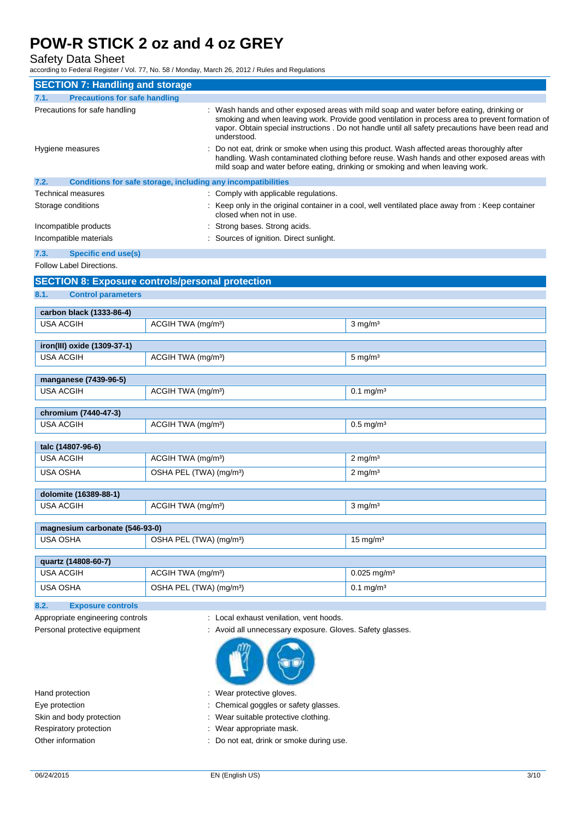Safety Data Sheet

according to Federal Register / Vol. 77, No. 58 / Monday, March 26, 2012 / Rules and Regulations

| <b>SECTION 7: Handling and storage</b>                  |                                     |                                                              |                                                                                                                                                                                                                                                                                                 |
|---------------------------------------------------------|-------------------------------------|--------------------------------------------------------------|-------------------------------------------------------------------------------------------------------------------------------------------------------------------------------------------------------------------------------------------------------------------------------------------------|
|                                                         |                                     |                                                              |                                                                                                                                                                                                                                                                                                 |
| 7.1.<br><b>Precautions for safe handling</b>            |                                     |                                                              |                                                                                                                                                                                                                                                                                                 |
| Precautions for safe handling                           |                                     | understood.                                                  | Wash hands and other exposed areas with mild soap and water before eating, drinking or<br>smoking and when leaving work. Provide good ventilation in process area to prevent formation of<br>vapor. Obtain special instructions . Do not handle until all safety precautions have been read and |
| Hygiene measures                                        |                                     |                                                              | Do not eat, drink or smoke when using this product. Wash affected areas thoroughly after<br>handling. Wash contaminated clothing before reuse. Wash hands and other exposed areas with<br>mild soap and water before eating, drinking or smoking and when leaving work.                         |
| 7.2.                                                    |                                     | Conditions for safe storage, including any incompatibilities |                                                                                                                                                                                                                                                                                                 |
| Technical measures                                      |                                     | : Comply with applicable regulations.                        |                                                                                                                                                                                                                                                                                                 |
| Storage conditions                                      |                                     | closed when not in use.                                      | : Keep only in the original container in a cool, well ventilated place away from : Keep container                                                                                                                                                                                               |
| Incompatible products                                   |                                     | Strong bases. Strong acids.                                  |                                                                                                                                                                                                                                                                                                 |
| Incompatible materials                                  |                                     | Sources of ignition. Direct sunlight.                        |                                                                                                                                                                                                                                                                                                 |
| 7.3.<br><b>Specific end use(s)</b>                      |                                     |                                                              |                                                                                                                                                                                                                                                                                                 |
| Follow Label Directions.                                |                                     |                                                              |                                                                                                                                                                                                                                                                                                 |
| <b>SECTION 8: Exposure controls/personal protection</b> |                                     |                                                              |                                                                                                                                                                                                                                                                                                 |
| 8.1.<br><b>Control parameters</b>                       |                                     |                                                              |                                                                                                                                                                                                                                                                                                 |
| carbon black (1333-86-4)                                |                                     |                                                              |                                                                                                                                                                                                                                                                                                 |
| <b>USA ACGIH</b>                                        | ACGIH TWA (mg/m <sup>3</sup> )      |                                                              | $3$ mg/m <sup>3</sup>                                                                                                                                                                                                                                                                           |
| iron(III) oxide (1309-37-1)                             |                                     |                                                              |                                                                                                                                                                                                                                                                                                 |
| USA ACGIH                                               | ACGIH TWA (mg/m <sup>3</sup> )      |                                                              | $5 \text{ mg/m}^3$                                                                                                                                                                                                                                                                              |
|                                                         |                                     |                                                              |                                                                                                                                                                                                                                                                                                 |
| manganese (7439-96-5)                                   |                                     |                                                              |                                                                                                                                                                                                                                                                                                 |
| <b>USA ACGIH</b>                                        | ACGIH TWA (mg/m <sup>3</sup> )      |                                                              | $0.1 \,\mathrm{mg/m^3}$                                                                                                                                                                                                                                                                         |
| chromium (7440-47-3)                                    |                                     |                                                              |                                                                                                                                                                                                                                                                                                 |
| <b>USA ACGIH</b>                                        | ACGIH TWA (mg/m <sup>3</sup> )      |                                                              | $0.5$ mg/m <sup>3</sup>                                                                                                                                                                                                                                                                         |
| talc (14807-96-6)                                       |                                     |                                                              |                                                                                                                                                                                                                                                                                                 |
| <b>USA ACGIH</b>                                        | ACGIH TWA (mg/m <sup>3</sup> )      |                                                              | $2 \text{ mg/m}^3$                                                                                                                                                                                                                                                                              |
| <b>USA OSHA</b>                                         | OSHA PEL (TWA) (mg/m <sup>3</sup> ) |                                                              | $2 \text{ mg/m}^3$                                                                                                                                                                                                                                                                              |
| dolomite (16389-88-1)                                   |                                     |                                                              |                                                                                                                                                                                                                                                                                                 |
| <b>USA ACGIH</b>                                        | ACGIH TWA (mg/m <sup>3</sup> )      |                                                              | $3 \text{ mg/m}^3$                                                                                                                                                                                                                                                                              |
| magnesium carbonate (546-93-0)                          |                                     |                                                              |                                                                                                                                                                                                                                                                                                 |

USA OSHA **DEL (TWA)** (mg/m<sup>3</sup>) 15 mg/m<sup>3</sup> **quartz (14808-60-7)** USA ACGIH  $\vert$  ACGIH TWA (mg/m<sup>3</sup>) 0.025 mg/m<sup>3</sup> USA OSHA **DEL (TWA)** (mg/m<sup>3</sup>) 0.1 mg/m<sup>3</sup>

**8.2. Exposure controls** 

- Appropriate engineering controls : Local exhaust venilation, vent hoods.
- Personal protective equipment : Avoid all unnecessary exposure. Gloves. Safety glasses.



- Hand protection **in the set of the set of the set of the set of the set of the set of the set of the set of the set of the set of the set of the set of the set of the set of the set of the set of the set of the set of the**
- Eye protection **in the contract of the Chemical goggles or safety glasses.**
- Skin and body protection : Wear suitable protective clothing.
- Respiratory protection **in the set of the COV** Mear appropriate mask.
- Other information : Do not eat, drink or smoke during use.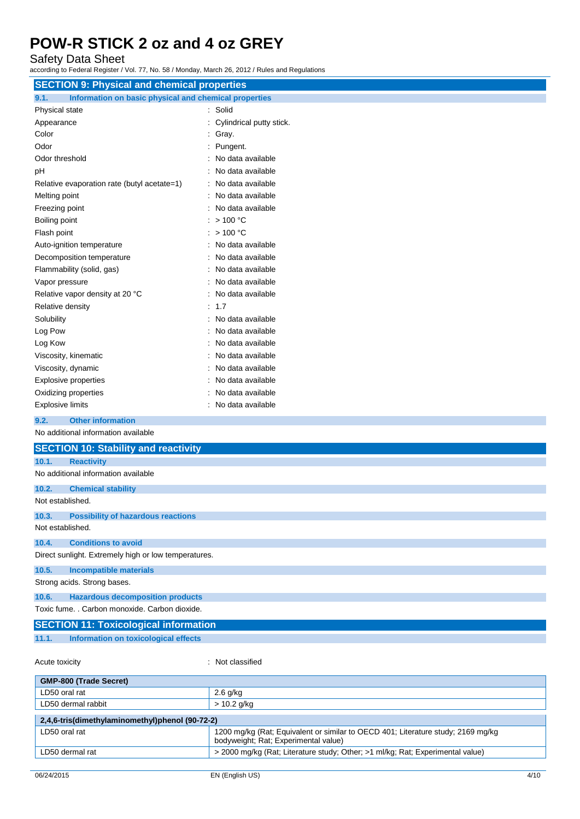Safety Data Sheet

according to Federal Register / Vol. 77, No. 58 / Monday, March 26, 2012 / Rules and Regulations

| <b>SECTION 9: Physical and chemical properties</b>            |                          |  |  |
|---------------------------------------------------------------|--------------------------|--|--|
| Information on basic physical and chemical properties<br>9.1. |                          |  |  |
| Physical state                                                | : Solid                  |  |  |
| Appearance                                                    | Cylindrical putty stick. |  |  |
| Color                                                         | Gray.                    |  |  |
| Odor                                                          | Pungent.                 |  |  |
| Odor threshold                                                | No data available        |  |  |
| pH                                                            | No data available        |  |  |
| Relative evaporation rate (butyl acetate=1)                   | No data available        |  |  |
| Melting point                                                 | No data available        |  |  |
| Freezing point                                                | No data available        |  |  |
| Boiling point                                                 | >100 °C                  |  |  |
| Flash point                                                   | $>$ 100 °C               |  |  |
| Auto-ignition temperature                                     | No data available        |  |  |
| Decomposition temperature                                     | No data available        |  |  |
| Flammability (solid, gas)                                     | No data available        |  |  |
| Vapor pressure                                                | No data available        |  |  |
| Relative vapor density at 20 °C                               | No data available        |  |  |
| Relative density                                              | $\therefore$ 1.7         |  |  |
| Solubility                                                    | No data available        |  |  |
| Log Pow                                                       | No data available        |  |  |
| Log Kow                                                       | No data available        |  |  |
| Viscosity, kinematic                                          | No data available        |  |  |
| Viscosity, dynamic                                            | No data available        |  |  |
| <b>Explosive properties</b>                                   | No data available        |  |  |
| Oxidizing properties                                          | No data available        |  |  |
| <b>Explosive limits</b>                                       | No data available        |  |  |
| <b>Other information</b><br>9.2.                              |                          |  |  |
| No additional information available                           |                          |  |  |
| <b>SECTION 10: Stability and reactivity</b>                   |                          |  |  |
| 10.1.<br><b>Reactivity</b>                                    |                          |  |  |
| No additional information available                           |                          |  |  |
| 10.2.<br><b>Chemical stability</b>                            |                          |  |  |
| Not established.                                              |                          |  |  |
| 10.3.<br><b>Possibility of hazardous reactions</b>            |                          |  |  |
| Not established.                                              |                          |  |  |
| <b>Conditions to avoid</b><br>10.4.                           |                          |  |  |
| Direct sunlight. Extremely high or low temperatures.          |                          |  |  |
| 10.5.<br><b>Incompatible materials</b>                        |                          |  |  |
| Strong acids. Strong bases.                                   |                          |  |  |
| 10.6.<br><b>Hazardous decomposition products</b>              |                          |  |  |
| Toxic fume. . Carbon monoxide. Carbon dioxide.                |                          |  |  |

| <b>SECTION 11: Toxicological information</b> |                                      |  |  |
|----------------------------------------------|--------------------------------------|--|--|
| 11.1.                                        | Information on toxicological effects |  |  |

Acute toxicity **in the case of the case of the case of the case of the case of the case of the case of the case of the case of the case of the case of the case of the case of the case of the case of the case of the case of** 

| <b>GMP-800 (Trade Secret)</b>                                                                                            |  |  |
|--------------------------------------------------------------------------------------------------------------------------|--|--|
| $2.6$ g/kg                                                                                                               |  |  |
| $> 10.2$ g/kg                                                                                                            |  |  |
| 2,4,6-tris(dimethylaminomethyl)phenol (90-72-2)                                                                          |  |  |
| 1200 mg/kg (Rat; Equivalent or similar to OECD 401; Literature study; 2169 mg/kg<br>bodyweight; Rat; Experimental value) |  |  |
| > 2000 mg/kg (Rat; Literature study; Other; >1 ml/kg; Rat; Experimental value)                                           |  |  |
|                                                                                                                          |  |  |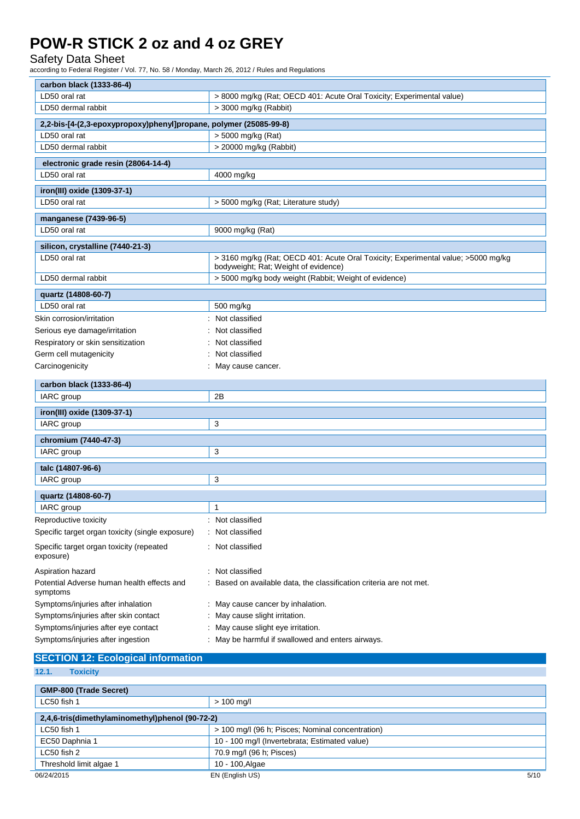### Safety Data Sheet

| carbon black (1333-86-4)                                          |                                                                                                                           |  |
|-------------------------------------------------------------------|---------------------------------------------------------------------------------------------------------------------------|--|
| LD50 oral rat                                                     | > 8000 mg/kg (Rat; OECD 401: Acute Oral Toxicity; Experimental value)                                                     |  |
| LD50 dermal rabbit                                                | > 3000 mg/kg (Rabbit)                                                                                                     |  |
| 2,2-bis-[4-(2,3-epoxypropoxy)phenyl]propane, polymer (25085-99-8) |                                                                                                                           |  |
| LD50 oral rat                                                     | > 5000 mg/kg (Rat)                                                                                                        |  |
| LD50 dermal rabbit                                                | > 20000 mg/kg (Rabbit)                                                                                                    |  |
| electronic grade resin (28064-14-4)                               |                                                                                                                           |  |
| LD50 oral rat                                                     | 4000 mg/kg                                                                                                                |  |
| iron(III) oxide (1309-37-1)                                       |                                                                                                                           |  |
| LD50 oral rat                                                     | > 5000 mg/kg (Rat; Literature study)                                                                                      |  |
| manganese (7439-96-5)                                             |                                                                                                                           |  |
| LD50 oral rat                                                     | 9000 mg/kg (Rat)                                                                                                          |  |
| silicon, crystalline (7440-21-3)                                  |                                                                                                                           |  |
| LD50 oral rat                                                     | > 3160 mg/kg (Rat; OECD 401: Acute Oral Toxicity; Experimental value; >5000 mg/kg<br>bodyweight; Rat; Weight of evidence) |  |
| LD50 dermal rabbit                                                | > 5000 mg/kg body weight (Rabbit; Weight of evidence)                                                                     |  |
| quartz (14808-60-7)                                               |                                                                                                                           |  |
| LD50 oral rat                                                     | 500 mg/kg                                                                                                                 |  |
| Skin corrosion/irritation                                         | : Not classified                                                                                                          |  |
| Serious eye damage/irritation                                     | Not classified                                                                                                            |  |
| Respiratory or skin sensitization                                 | Not classified                                                                                                            |  |
| Germ cell mutagenicity                                            | Not classified                                                                                                            |  |
| Carcinogenicity                                                   | May cause cancer.                                                                                                         |  |
| carbon black (1333-86-4)                                          |                                                                                                                           |  |
| IARC group                                                        | 2B                                                                                                                        |  |
| iron(III) oxide (1309-37-1)                                       |                                                                                                                           |  |
| IARC group                                                        | 3                                                                                                                         |  |
| chromium (7440-47-3)                                              |                                                                                                                           |  |
| IARC group                                                        | 3                                                                                                                         |  |
| talc (14807-96-6)                                                 |                                                                                                                           |  |
| IARC group                                                        | 3                                                                                                                         |  |
|                                                                   |                                                                                                                           |  |
| quartz (14808-60-7)<br>IARC group                                 | 1                                                                                                                         |  |
| Reproductive toxicity                                             | Not classified                                                                                                            |  |
|                                                                   | Not classified                                                                                                            |  |
| Specific target organ toxicity (single exposure)                  |                                                                                                                           |  |
| Specific target organ toxicity (repeated<br>exposure)             | Not classified                                                                                                            |  |
| Aspiration hazard                                                 | Not classified                                                                                                            |  |
| Potential Adverse human health effects and<br>symptoms            | Based on available data, the classification criteria are not met.                                                         |  |
| Symptoms/injuries after inhalation                                | May cause cancer by inhalation.                                                                                           |  |
| Symptoms/injuries after skin contact                              | May cause slight irritation.                                                                                              |  |
| Symptoms/injuries after eye contact                               | May cause slight eye irritation.                                                                                          |  |
| Symptoms/injuries after ingestion                                 | : May be harmful if swallowed and enters airways.                                                                         |  |

| <b>SECTION 12: Ecological information</b>       |                                                  |  |
|-------------------------------------------------|--------------------------------------------------|--|
| 12.1.<br><b>Toxicity</b>                        |                                                  |  |
|                                                 |                                                  |  |
| <b>GMP-800 (Trade Secret)</b>                   |                                                  |  |
| LC50 fish 1                                     | $> 100$ mg/l                                     |  |
| 2,4,6-tris(dimethylaminomethyl)phenol (90-72-2) |                                                  |  |
| LC50 fish 1                                     | > 100 mg/l (96 h; Pisces; Nominal concentration) |  |
| EC50 Daphnia 1                                  | 10 - 100 mg/l (Invertebrata; Estimated value)    |  |
| LC50 fish 2                                     | 70.9 mg/l (96 h; Pisces)                         |  |
| Threshold limit algae 1                         | 10 - 100, Algae                                  |  |
| 06/24/2015                                      | 5/10<br>EN (English US)                          |  |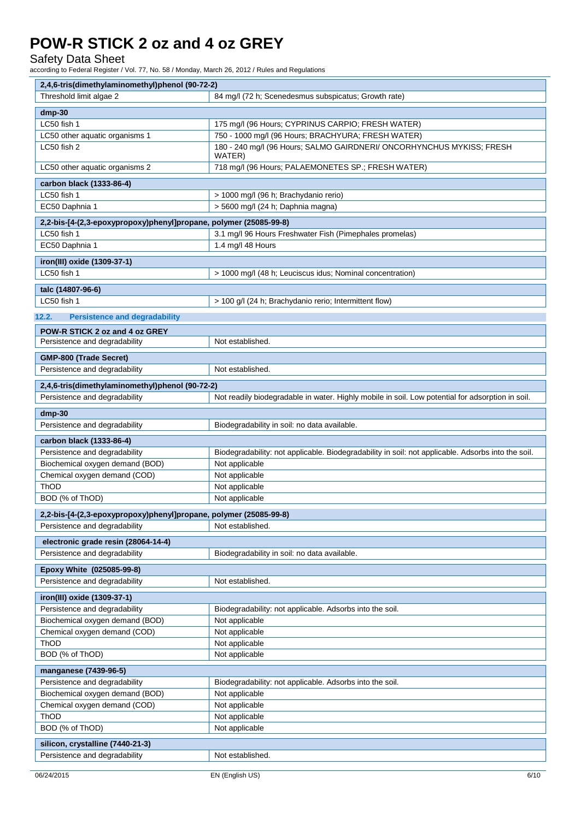### Safety Data Sheet

| 2,4,6-tris(dimethylaminomethyl)phenol (90-72-2)                   |                                                                                                    |
|-------------------------------------------------------------------|----------------------------------------------------------------------------------------------------|
| Threshold limit algae 2                                           | 84 mg/l (72 h; Scenedesmus subspicatus; Growth rate)                                               |
| $dmp-30$                                                          |                                                                                                    |
| LC50 fish 1                                                       | 175 mg/l (96 Hours; CYPRINUS CARPIO; FRESH WATER)                                                  |
| LC50 other aquatic organisms 1                                    | 750 - 1000 mg/l (96 Hours; BRACHYURA; FRESH WATER)                                                 |
| LC50 fish 2                                                       | 180 - 240 mg/l (96 Hours; SALMO GAIRDNERI/ ONCORHYNCHUS MYKISS; FRESH<br>WATER)                    |
| LC50 other aquatic organisms 2                                    | 718 mg/l (96 Hours; PALAEMONETES SP.; FRESH WATER)                                                 |
| carbon black (1333-86-4)                                          |                                                                                                    |
| LC50 fish 1                                                       | > 1000 mg/l (96 h; Brachydanio rerio)                                                              |
| EC50 Daphnia 1                                                    | > 5600 mg/l (24 h; Daphnia magna)                                                                  |
| 2,2-bis-[4-(2,3-epoxypropoxy)phenyl]propane, polymer (25085-99-8) |                                                                                                    |
| LC50 fish 1                                                       | 3.1 mg/l 96 Hours Freshwater Fish (Pimephales promelas)                                            |
| EC50 Daphnia 1                                                    | 1.4 mg/l 48 Hours                                                                                  |
| iron(III) oxide (1309-37-1)                                       |                                                                                                    |
| LC50 fish 1                                                       | > 1000 mg/l (48 h; Leuciscus idus; Nominal concentration)                                          |
|                                                                   |                                                                                                    |
| talc (14807-96-6)                                                 |                                                                                                    |
| LC50 fish 1                                                       | > 100 g/l (24 h; Brachydanio rerio; Intermittent flow)                                             |
| 12.2.<br><b>Persistence and degradability</b>                     |                                                                                                    |
| POW-R STICK 2 oz and 4 oz GREY                                    |                                                                                                    |
| Persistence and degradability                                     | Not established.                                                                                   |
| GMP-800 (Trade Secret)                                            |                                                                                                    |
| Persistence and degradability                                     | Not established.                                                                                   |
| 2,4,6-tris(dimethylaminomethyl)phenol (90-72-2)                   |                                                                                                    |
| Persistence and degradability                                     | Not readily biodegradable in water. Highly mobile in soil. Low potential for adsorption in soil.   |
|                                                                   |                                                                                                    |
| $dmp-30$                                                          |                                                                                                    |
| Persistence and degradability                                     | Biodegradability in soil: no data available.                                                       |
| carbon black (1333-86-4)                                          |                                                                                                    |
| Persistence and degradability                                     | Biodegradability: not applicable. Biodegradability in soil: not applicable. Adsorbs into the soil. |
| Biochemical oxygen demand (BOD)                                   | Not applicable                                                                                     |
| Chemical oxygen demand (COD)                                      | Not applicable                                                                                     |
| ThOD                                                              | Not applicable                                                                                     |
| BOD (% of ThOD)                                                   | Not applicable                                                                                     |
| 2,2-bis-[4-(2,3-epoxypropoxy)phenyl]propane, polymer (25085-99-8) |                                                                                                    |
| Persistence and degradability                                     | Not established.                                                                                   |
| electronic grade resin (28064-14-4)                               |                                                                                                    |
| Persistence and degradability                                     | Biodegradability in soil: no data available.                                                       |
| Epoxy White (025085-99-8)                                         |                                                                                                    |
| Persistence and degradability                                     | Not established.                                                                                   |
|                                                                   |                                                                                                    |
| iron(III) oxide (1309-37-1)                                       |                                                                                                    |
| Persistence and degradability<br>Biochemical oxygen demand (BOD)  | Biodegradability: not applicable. Adsorbs into the soil.                                           |
| Chemical oxygen demand (COD)                                      | Not applicable<br>Not applicable                                                                   |
| ThOD                                                              | Not applicable                                                                                     |
| BOD (% of ThOD)                                                   | Not applicable                                                                                     |
|                                                                   |                                                                                                    |
| manganese (7439-96-5)<br>Persistence and degradability            |                                                                                                    |
| Biochemical oxygen demand (BOD)                                   | Biodegradability: not applicable. Adsorbs into the soil.<br>Not applicable                         |
| Chemical oxygen demand (COD)                                      | Not applicable                                                                                     |
| ThOD                                                              | Not applicable                                                                                     |
| BOD (% of ThOD)                                                   | Not applicable                                                                                     |
|                                                                   |                                                                                                    |
| silicon, crystalline (7440-21-3)<br>Persistence and degradability | Not established.                                                                                   |
|                                                                   |                                                                                                    |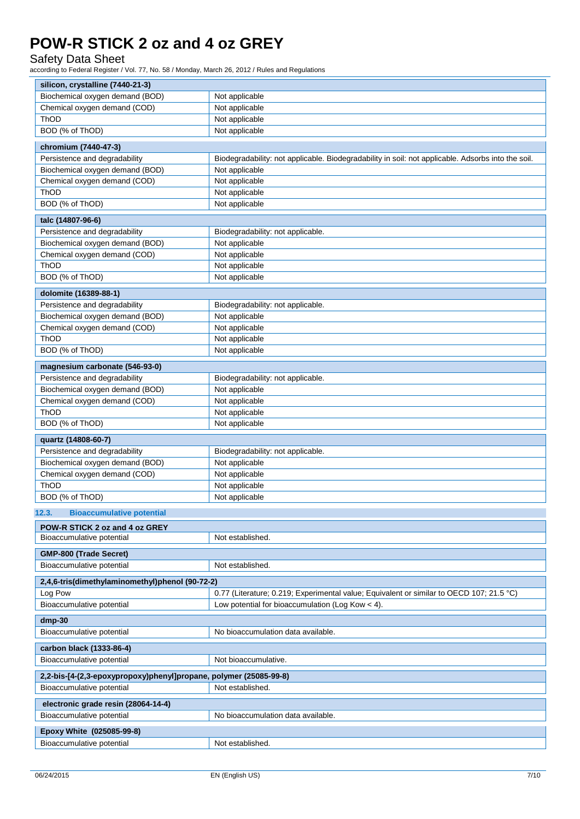## Safety Data Sheet

| silicon, crystalline (7440-21-3)                                  |                                                                                                    |  |
|-------------------------------------------------------------------|----------------------------------------------------------------------------------------------------|--|
| Biochemical oxygen demand (BOD)                                   | Not applicable                                                                                     |  |
| Chemical oxygen demand (COD)                                      | Not applicable                                                                                     |  |
| ThOD                                                              | Not applicable                                                                                     |  |
| BOD (% of ThOD)                                                   | Not applicable                                                                                     |  |
| chromium (7440-47-3)                                              |                                                                                                    |  |
| Persistence and degradability                                     | Biodegradability: not applicable. Biodegradability in soil: not applicable. Adsorbs into the soil. |  |
| Biochemical oxygen demand (BOD)                                   | Not applicable                                                                                     |  |
| Chemical oxygen demand (COD)                                      | Not applicable                                                                                     |  |
| ThOD                                                              | Not applicable                                                                                     |  |
| BOD (% of ThOD)                                                   | Not applicable                                                                                     |  |
| talc (14807-96-6)                                                 |                                                                                                    |  |
| Persistence and degradability                                     | Biodegradability: not applicable.                                                                  |  |
| Biochemical oxygen demand (BOD)                                   | Not applicable                                                                                     |  |
| Chemical oxygen demand (COD)                                      | Not applicable                                                                                     |  |
| ThOD                                                              | Not applicable                                                                                     |  |
| BOD (% of ThOD)                                                   | Not applicable                                                                                     |  |
| dolomite (16389-88-1)                                             |                                                                                                    |  |
| Persistence and degradability                                     | Biodegradability: not applicable.                                                                  |  |
| Biochemical oxygen demand (BOD)                                   | Not applicable                                                                                     |  |
| Chemical oxygen demand (COD)                                      | Not applicable                                                                                     |  |
| ThOD                                                              | Not applicable                                                                                     |  |
| BOD (% of ThOD)                                                   | Not applicable                                                                                     |  |
|                                                                   |                                                                                                    |  |
| magnesium carbonate (546-93-0)                                    |                                                                                                    |  |
| Persistence and degradability                                     | Biodegradability: not applicable.                                                                  |  |
| Biochemical oxygen demand (BOD)<br>Chemical oxygen demand (COD)   | Not applicable<br>Not applicable                                                                   |  |
| ThOD                                                              | Not applicable                                                                                     |  |
| BOD (% of ThOD)                                                   | Not applicable                                                                                     |  |
|                                                                   |                                                                                                    |  |
| quartz (14808-60-7)                                               |                                                                                                    |  |
| Persistence and degradability<br>Biochemical oxygen demand (BOD)  | Biodegradability: not applicable.                                                                  |  |
| Chemical oxygen demand (COD)                                      | Not applicable<br>Not applicable                                                                   |  |
| ThOD                                                              | Not applicable                                                                                     |  |
| BOD (% of ThOD)                                                   | Not applicable                                                                                     |  |
|                                                                   |                                                                                                    |  |
| 12.3.<br><b>Bioaccumulative potential</b>                         |                                                                                                    |  |
| POW-R STICK 2 oz and 4 oz GREY                                    |                                                                                                    |  |
| Bioaccumulative potential                                         | Not established.                                                                                   |  |
| GMP-800 (Trade Secret)                                            |                                                                                                    |  |
| Bioaccumulative potential                                         | Not established.                                                                                   |  |
| 2,4,6-tris(dimethylaminomethyl)phenol (90-72-2)                   |                                                                                                    |  |
| Log Pow                                                           | 0.77 (Literature; 0.219; Experimental value; Equivalent or similar to OECD 107; 21.5 °C)           |  |
| Bioaccumulative potential                                         | Low potential for bioaccumulation (Log Kow $<$ 4).                                                 |  |
| $dmp-30$                                                          |                                                                                                    |  |
| Bioaccumulative potential                                         | No bioaccumulation data available.                                                                 |  |
|                                                                   |                                                                                                    |  |
| carbon black (1333-86-4)<br>Bioaccumulative potential             | Not bioaccumulative.                                                                               |  |
|                                                                   |                                                                                                    |  |
| 2,2-bis-[4-(2,3-epoxypropoxy)phenyl]propane, polymer (25085-99-8) |                                                                                                    |  |
| Bioaccumulative potential                                         | Not established.                                                                                   |  |
| electronic grade resin (28064-14-4)                               |                                                                                                    |  |
| Bioaccumulative potential                                         | No bioaccumulation data available.                                                                 |  |
| Epoxy White (025085-99-8)                                         |                                                                                                    |  |
| Bioaccumulative potential                                         | Not established.                                                                                   |  |
|                                                                   |                                                                                                    |  |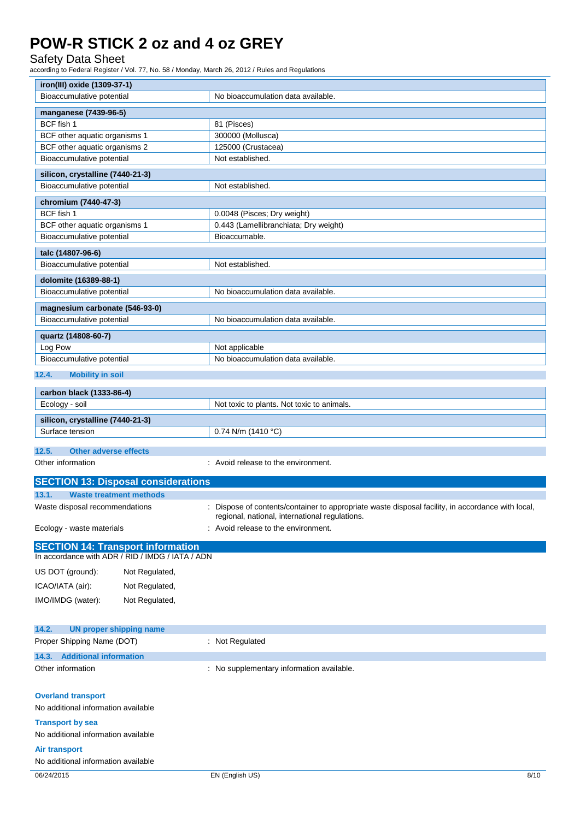### Safety Data Sheet

| iron(III) oxide (1309-37-1)                                                                  |                                                                                                |
|----------------------------------------------------------------------------------------------|------------------------------------------------------------------------------------------------|
| Bioaccumulative potential                                                                    | No bioaccumulation data available.                                                             |
| manganese (7439-96-5)                                                                        |                                                                                                |
| BCF fish 1                                                                                   | 81 (Pisces)                                                                                    |
| BCF other aquatic organisms 1                                                                | 300000 (Mollusca)                                                                              |
| BCF other aquatic organisms 2                                                                | 125000 (Crustacea)                                                                             |
| Bioaccumulative potential                                                                    | Not established.                                                                               |
|                                                                                              |                                                                                                |
| silicon, crystalline (7440-21-3)<br>Bioaccumulative potential                                | Not established.                                                                               |
|                                                                                              |                                                                                                |
| chromium (7440-47-3)                                                                         |                                                                                                |
| BCF fish 1                                                                                   | 0.0048 (Pisces; Dry weight)                                                                    |
| BCF other aquatic organisms 1                                                                | 0.443 (Lamellibranchiata; Dry weight)                                                          |
| Bioaccumulative potential                                                                    | Bioaccumable.                                                                                  |
| talc (14807-96-6)                                                                            |                                                                                                |
| Bioaccumulative potential                                                                    | Not established.                                                                               |
| dolomite (16389-88-1)                                                                        |                                                                                                |
| Bioaccumulative potential                                                                    | No bioaccumulation data available.                                                             |
|                                                                                              |                                                                                                |
| magnesium carbonate (546-93-0)                                                               |                                                                                                |
| Bioaccumulative potential                                                                    | No bioaccumulation data available.                                                             |
| quartz (14808-60-7)                                                                          |                                                                                                |
| Log Pow                                                                                      | Not applicable                                                                                 |
| Bioaccumulative potential                                                                    | No bioaccumulation data available.                                                             |
| 12.4.<br><b>Mobility in soil</b>                                                             |                                                                                                |
| carbon black (1333-86-4)                                                                     |                                                                                                |
| Ecology - soil                                                                               | Not toxic to plants. Not toxic to animals.                                                     |
| silicon, crystalline (7440-21-3)                                                             |                                                                                                |
| Surface tension                                                                              | 0.74 N/m (1410 °C)                                                                             |
|                                                                                              |                                                                                                |
| 12.5.<br><b>Other adverse effects</b>                                                        |                                                                                                |
| Other information                                                                            | : Avoid release to the environment.                                                            |
| <b>SECTION 13: Disposal considerations</b>                                                   |                                                                                                |
| 13.1.<br><b>Waste treatment methods</b>                                                      |                                                                                                |
| Waste disposal recommendations                                                               | Dispose of contents/container to appropriate waste disposal facility, in accordance with local |
|                                                                                              | regional, national, international regulations.                                                 |
| Ecology - waste materials                                                                    | Avoid release to the environment.                                                              |
|                                                                                              |                                                                                                |
| <b>SECTION 14: Transport information</b><br>In accordance with ADR / RID / IMDG / IATA / ADN |                                                                                                |
|                                                                                              |                                                                                                |
| US DOT (ground):<br>Not Regulated,                                                           |                                                                                                |
| ICAO/IATA (air):<br>Not Regulated,                                                           |                                                                                                |
| IMO/IMDG (water):<br>Not Regulated,                                                          |                                                                                                |
|                                                                                              |                                                                                                |
| 14.2.<br><b>UN proper shipping name</b>                                                      |                                                                                                |
| Proper Shipping Name (DOT)                                                                   | : Not Regulated                                                                                |
|                                                                                              |                                                                                                |
| 14.3. Additional information                                                                 |                                                                                                |
| Other information                                                                            | : No supplementary information available.                                                      |
|                                                                                              |                                                                                                |
| <b>Overland transport</b>                                                                    |                                                                                                |
| No additional information available                                                          |                                                                                                |
| <b>Transport by sea</b>                                                                      |                                                                                                |
| No additional information available                                                          |                                                                                                |
| <b>Air transport</b>                                                                         |                                                                                                |
| No additional information available                                                          |                                                                                                |
|                                                                                              |                                                                                                |
| 06/24/2015                                                                                   | EN (English US)<br>8/10                                                                        |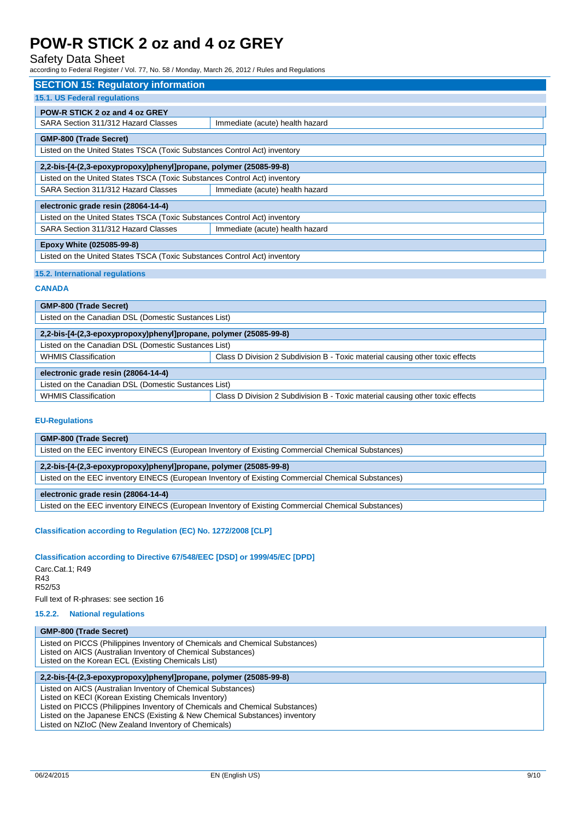## Safety Data Sheet

according to Federal Register / Vol. 77, No. 58 / Monday, March 26, 2012 / Rules and Regulations

| <b>SECTION 15: Regulatory information</b>                                 |                                 |  |  |
|---------------------------------------------------------------------------|---------------------------------|--|--|
| <b>15.1. US Federal requlations</b>                                       |                                 |  |  |
| POW-R STICK 2 oz and 4 oz GREY                                            |                                 |  |  |
| SARA Section 311/312 Hazard Classes                                       | Immediate (acute) health hazard |  |  |
| <b>GMP-800 (Trade Secret)</b>                                             |                                 |  |  |
| Listed on the United States TSCA (Toxic Substances Control Act) inventory |                                 |  |  |
| 2,2-bis-[4-(2,3-epoxypropoxy)phenyl]propane, polymer (25085-99-8)         |                                 |  |  |
| Listed on the United States TSCA (Toxic Substances Control Act) inventory |                                 |  |  |
| SARA Section 311/312 Hazard Classes                                       | Immediate (acute) health hazard |  |  |
| electronic grade resin (28064-14-4)                                       |                                 |  |  |
| Listed on the United States TSCA (Toxic Substances Control Act) inventory |                                 |  |  |
| SARA Section 311/312 Hazard Classes                                       | Immediate (acute) health hazard |  |  |
| Epoxy White (025085-99-8)                                                 |                                 |  |  |
| Listed on the United States TSCA (Toxic Substances Control Act) inventory |                                 |  |  |
|                                                                           |                                 |  |  |

### **15.2. International regulations**

#### **CANADA**

| <b>GMP-800 (Trade Secret)</b>                                     |                                                                               |  |  |
|-------------------------------------------------------------------|-------------------------------------------------------------------------------|--|--|
| Listed on the Canadian DSL (Domestic Sustances List)              |                                                                               |  |  |
| 2,2-bis-[4-(2,3-epoxypropoxy)phenyl]propane, polymer (25085-99-8) |                                                                               |  |  |
| Listed on the Canadian DSL (Domestic Sustances List)              |                                                                               |  |  |
| <b>WHMIS Classification</b>                                       | Class D Division 2 Subdivision B - Toxic material causing other toxic effects |  |  |
| electronic grade resin (28064-14-4)                               |                                                                               |  |  |
| Listed on the Canadian DSL (Domestic Sustances List)              |                                                                               |  |  |
| <b>WHMIS Classification</b>                                       | Class D Division 2 Subdivision B - Toxic material causing other toxic effects |  |  |

### **EU-Regulations**

### **Classification according to Regulation (EC) No. 1272/2008 [CLP]**

#### **Classification according to Directive 67/548/EEC [DSD] or 1999/45/EC [DPD]**

Carc.Cat.1; R49 R43 R52/53 Full text of R-phrases: see section 16

#### **15.2.2. National regulations**

### **GMP-800 (Trade Secret)**

Listed on PICCS (Philippines Inventory of Chemicals and Chemical Substances) Listed on AICS (Australian Inventory of Chemical Substances) Listed on the Korean ECL (Existing Chemicals List)

### **2,2-bis-[4-(2,3-epoxypropoxy)phenyl]propane, polymer (25085-99-8)**

Listed on AICS (Australian Inventory of Chemical Substances)

Listed on KECI (Korean Existing Chemicals Inventory)

Listed on PICCS (Philippines Inventory of Chemicals and Chemical Substances)

Listed on the Japanese ENCS (Existing & New Chemical Substances) inventory

Listed on NZIoC (New Zealand Inventory of Chemicals)